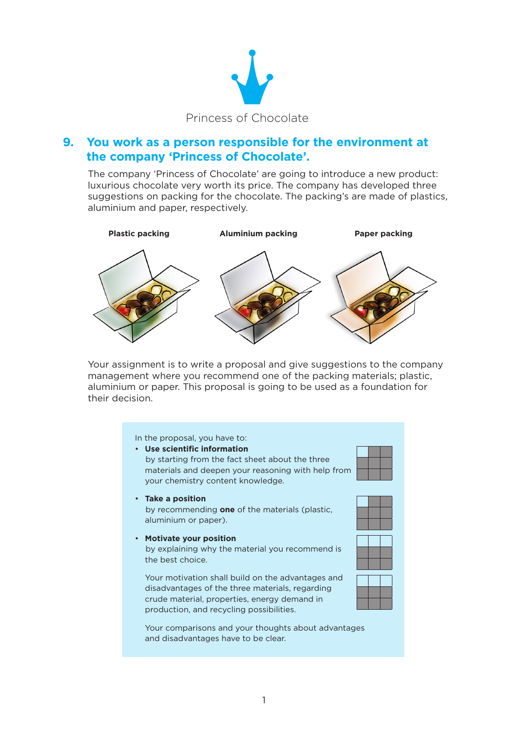

## **9. You work as a person responsible for the environment at the company 'Princess of Chocolate'.**

The company 'Princess of Chocolate' are going to introduce a new product: luxurious chocolate very worth its price. The company has developed three suggestions on packing for the chocolate. The packing's are made of plastics, aluminium and paper, respectively.



Your assignment is to write a proposal and give suggestions to the company management where you recommend one of the packing materials; plastic, aluminium or paper. This proposal is going to be used as a foundation for their decision.

## In the proposal, you have to: • **Use scientific information**  by starting from the fact sheet about the three materials and deepen your reasoning with help from your chemistry content knowledge. • **Take a position** by recommending **one** of the materials (plastic, aluminium or paper). • **Motivate your position** by explaining why the material you recommend is the best choice. Your motivation shall build on the advantages and disadvantages of the three materials, regarding crude material, properties, energy demand in production, and recycling possibilities.

Your comparisons and your thoughts about advantages and disadvantages have to be clear.